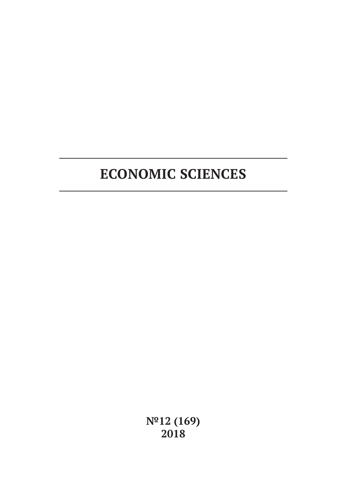# **ECONOMIC SCIENCES**

**№12 (169) 2018**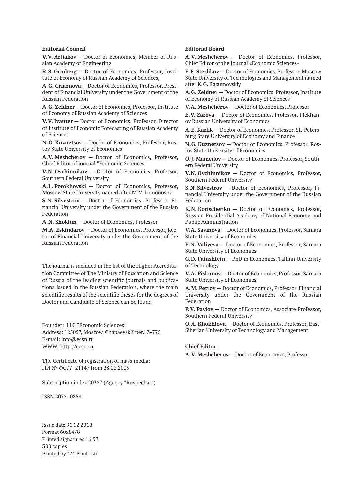#### **Editorial Council**

**V.V. Artiakov** — Doctor of Economics, Member of Russian Academy of Engineering

**R.S. Grinberg** — Doctor of Economics, Professor, Institute of Economy of Russian Academy of Sciences,

**A.G. Griaznova** — Doctor of Economics, Professor, President of Financial University under the Government of the Russian Federation

**A.G. Zeldner** — Doctor of Economics, Professor, Institute of Economy of Russian Academy of Sciences

**V.V. Ivanter** — Doctor of Economics, Professor, Director of Institute of Economic Forecasting of Russian Academy of Sciences

**N.G. Kuznetsov** — Doctor of Economics, Professor, Rostov State University of Economics

**A.V. Meshcherov** — Doctor of Economics, Professor, Chief Editor of journal "Economic Sciences"

**V.N. Ovchinnikov** — Doctor of Economics, Professor, Southern Federal University

**A.L. Porokhovski** — Doctor of Economics, Professor, Moscow State University named after M.V. Lomonosov

**S.N. Silvestrov** — Doctor of Economics, Professor, Financial University under the Government of the Russian Federation

**A.N. Shokhin** — Doctor of Economics, Professor

**M.A. Eskindarov** — Doctor of Economics, Professor, Rector of Financial University under the Government of the Russian Federation

The journal is included in the list of the Higher Accreditation Committee of The Ministry of Education and Science of Russia of the leading scientific journals and publications issued in the Russian Federation, where the main scientific results of the scientific theses for the degrees of Doctor and Candidate of Science can be found

Founder: LLC "Economic Sciences" Address: 125057, Moscow, Chapaevskii per., 3-775 E-mail: info@ecsn.ru WWW: http://ecsn.ru

The Certificate of registration of mass media: ПИ № ФС77–21147 from 28.06.2005

Subscription index 20387 (Agency "Rospechat")

ISSN 2072–0858

Issue date 31.12.2018 Format 60х84/8 Printed signatures 16.97 500 copies Printed by "24 Print" Ltd

#### **Editorial Board**

**A.V. Meshcherov** — Doctor of Economics, Professor, Chief Editor of the Journal «Economic Sciences»

**F.F. Sterlikov** — Doctor of Economics, Professor, Moscow State University of Technologies and Management named after K.G. Razumovskiy

**A.G. Zeldner** — Doctor of Economics, Professor, Institute of Economy of Russian Academy of Sciences

**V.A. Meshcherov** — Doctor of Economics, Professor

**E.V. Zarova** — Doctor of Economics, Professor, Plekhanov Russian University of Economics

**A.E. Karlik** — Doctor of Economics, Professor, St.-Petersburg State University of Economy and Finance

**N.G. Kuznetsov** — Doctor of Economics, Professor, Rostov State University of Economics

**O.J. Mamedov** — Doctor of Economics, Professor, Southern Federal University

**V.N. Ovchinnikov** — Doctor of Economics, Professor, Southern Federal University

**S.N. Silvestrov** — Doctor of Economics, Professor, Financial University under the Government of the Russian Federation

**K.N. Korischenko** — Doctor of Economics, Professor, Russian Presidential Academy of National Economy and Public Administration

**V.A. Savinova** — Doctor of Economics, Professor, Samara State University of Economics

**E.N. Valiyeva** — Doctor of Economics, Professor, Samara State University of Economics

**G.D. Fainshtein** — PhD in Economics, Tallinn University of Technology

**V.A. Piskunov** — Doctor of Economics, Professor, Samara State University of Economics

**A.M. Petrov** — Doctor of Economics, Professor, Financial University under the Government of the Russian Federation

**P.V. Pavlov** — Doctor of Economics, Associate Professor, Southern Federal University

**O.A. Khokhlova** — Doctor of Economics, Professor, East-Siberian University of Technology and Management

#### **Chief Editor:**

**A.V. Meshcherov** — Doctor of Economics, Professor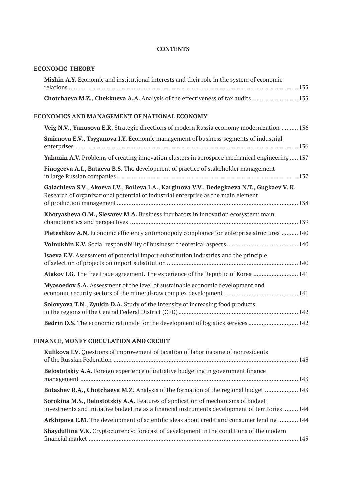### **CONTENTS**

### **ECONOMIC THEORY**

| Mishin A.Y. Economic and institutional interests and their role in the system of economic                                                                                      |  |
|--------------------------------------------------------------------------------------------------------------------------------------------------------------------------------|--|
| Chotchaeva M.Z., Chekkueva A.A. Analysis of the effectiveness of tax audits  135                                                                                               |  |
| ECONOMICS AND MANAGEMENT OF NATIONAL ECONOMY                                                                                                                                   |  |
| Veig N.V., Yunusova E.R. Strategic directions of modern Russia economy modernization  136                                                                                      |  |
| Smirnova E.V., Tsyganova I.Y. Economic management of business segments of industrial                                                                                           |  |
| Yakunin A.V. Problems of creating innovation clusters in aerospace mechanical engineering  137                                                                                 |  |
| Finogeeva A.I., Bataeva B.S. The development of practice of stakeholder management                                                                                             |  |
| Galachieva S.V., Akoeva I.V., Bolieva I.A., Karginova V.V., Dedegkaeva N.T., Gugkaev V.K.<br>Research of organizational potential of industrial enterprise as the main element |  |
| Khotyasheva O.M., Slesarev M.A. Business incubators in innovation ecosystem: main                                                                                              |  |
| Pleteshkov A.N. Economic efficiency antimonopoly compliance for enterprise structures  140                                                                                     |  |
|                                                                                                                                                                                |  |
| <b>Isaeva E.V.</b> Assessment of potential import substitution industries and the principle                                                                                    |  |
| Atakov I.G. The free trade agreement. The experience of the Republic of Korea  141                                                                                             |  |
| Myasoedov S.A. Assessment of the level of sustainable economic development and                                                                                                 |  |
| Solovyova T.N., Zyukin D.A. Study of the intensity of increasing food products                                                                                                 |  |
| Bedrin D.S. The economic rationale for the development of logistics services  142                                                                                              |  |
| FINANCE MONEY CIRCULATION AND CREDIT                                                                                                                                           |  |

## **FINANCE, MONEY CIRCULATION AND CREDIT**

| Kulikova I.V. Questions of improvement of taxation of labor income of nonresidents                                                                                                  |  |
|-------------------------------------------------------------------------------------------------------------------------------------------------------------------------------------|--|
| Belostotskiy A.A. Foreign experience of initiative budgeting in government finance                                                                                                  |  |
| <b>Botashev R.A., Chotchaeva M.Z.</b> Analysis of the formation of the regional budget  143                                                                                         |  |
| Sorokina M.S., Belostotskiy A.A. Features of application of mechanisms of budget<br>investments and initiative budgeting as a financial instruments development of territories  144 |  |
| Arkhipova E.M. The development of scientific ideas about credit and consumer lending  144                                                                                           |  |
| Shaydullina V.K. Cryptocurrency: forecast of development in the conditions of the modern                                                                                            |  |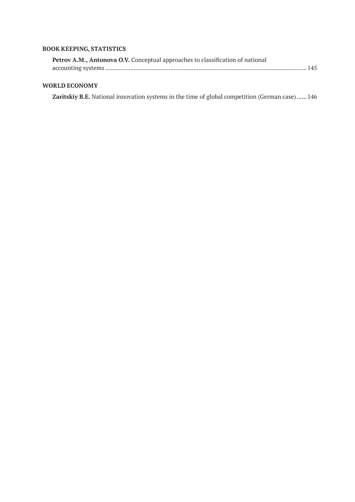### **BOOK KEEPING, STATISTICS**

| Petrov A.M., Antonova O.V. Conceptual approaches to classification of national |  |
|--------------------------------------------------------------------------------|--|
|                                                                                |  |

### **WORLD ECONOMY**

**Zaritskiy B.E.** National innovation systems in the time of global competition (German case)...... 146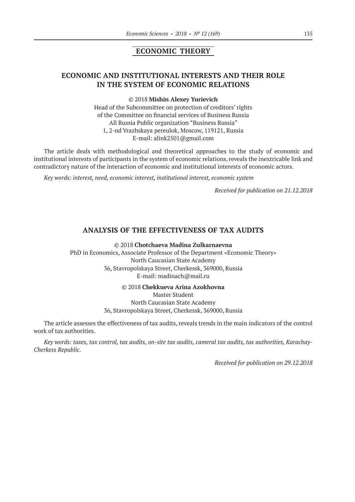### **ECONOMIC THEORY**

### **ECONOMIC AND INSTITUTIONAL INTERESTS AND THEIR ROLE IN THE SYSTEM OF ECONOMIC RELATIONS**

#### ©© 2018 **Mishin Alexey Yurievich**

Head of the Subcommittee on protection of creditors' rights of the Committee on financial services of Business Russia All Russia Public organization "Business Russia" 1, 2-nd Vrazhskaya pereulok, Moscow, 119121, Russia E‑mail: alink2501@gmail.com

The article deals with methodological and theoretical approaches to the study of economic and institutional interests of participants in the system of economic relations, reveals the inextricable link and contradictory nature of the interaction of economic and institutional interests of economic actors.

*Key words: interest, need, economic interest, institutional interest, economic system*

*Received for publication on 21.12.2018*

#### **ANALYSIS OF THE EFFECTIVENESS OF TAX AUDITS**

©© 2018 **Chotchaeva Madina Zulkarnaevna**

PhD in Economics, Associate Professor of the Department «Economic Theory» North Caucasian State Academy 36, Stavropolskaya Street, Cherkessk, 369000, Russia Е‑mail: madinach@mail.ru

©© 2018 **Chekkueva Arina Azokhovna**

Master Student North Caucasian State Academy 36, Stavropolskaya Street, Cherkessk, 369000, Russia

The article assesses the effectiveness of tax audits, reveals trends in the main indicators of the control work of tax authorities.

*Key words: taxes, tax control, tax audits, on-site tax audits, cameral tax audits, tax authorities, Karachay-Cherkess Republic.*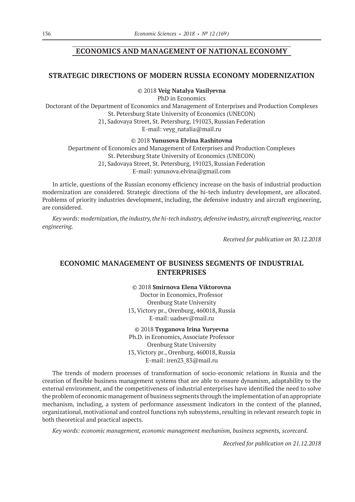### **ECONOMICS AND MANAGEMENT OF NATIONAL ECONOMY**

### **STRATEGIC DIRECTIONS OF MODERN RUSSIA ECONOMY MODERNIZATION**

©© 2018 **Veig Natalya Vasilyevna**

PhD in Economics

Doctorant of the Department of Economics and Management of Enterprises and Production Complexes St. Petersburg State University of Economics (UNECON) 21, Sadovaya Street, St. Petersburg, 191023, Russian Federation E-mail: veyg\_natalia@mail.ru

©© 2018 **Yunusova Elvina Rashitovna**

Department of Economics and Management of Enterprises and Production Complexes St. Petersburg State University of Economics (UNECON) 21, Sadovaya Street, St. Petersburg, 191023, Russian Federation E-mail: yunusova.elvina@gmail.com

In article, questions of the Russian economy efficiency increase on the basis of industrial production modernization are considered. Strategic directions of the hi-tech industry development, are allocated. Problems of priority industries development, including, the defensive industry and aircraft engineering, are considered.

*Key words: modernization, the industry, the hi-tech industry, defensive industry, aircraft engineering, reactor engineering.*

*Received for publication on 30.12.2018*

### **ECONOMIC MANAGEMENT OF BUSINESS SEGMENTS OF INDUSTRIAL ENTERPRISES**

©© 2018 **Smirnova Elena Viktorovna** Doctor in Economics, Professor Orenburg State University 13, Victory pr., Orenburg, 460018, Russia E-mail: uadsev@mail.ru

©© 2018 **Tsyganova Irina Yuryevna** Ph.D. in Economics, Associate Professor Orenburg State University 13, Victory pr., Orenburg, 460018, Russia E-mail: iren23\_83@mail.ru

The trends of modern processes of transformation of socio-economic relations in Russia and the creation of flexible business management systems that are able to ensure dynamism, adaptability to the external environment, and the competitiveness of industrial enterprises have identified the need to solve the problem of economic management of business segments through the implementation of an appropriate mechanism, including, a system of performance assessment indicators in the context of the planned, organizational, motivational and control functions nyh subsystems, resulting in relevant research topic in both theoretical and practical aspects.

*Key words: economic management, economic management mechanism, business segments, scorecard.*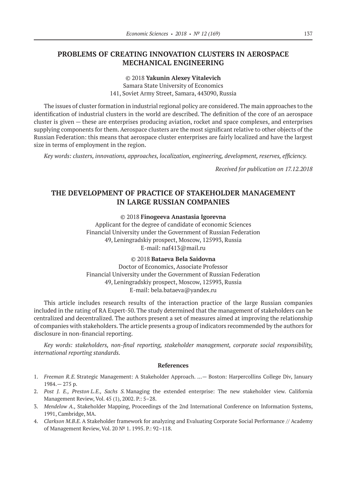### **PROBLEMS OF CREATING INNOVATION CLUSTERS IN AEROSPACE MECHANICAL ENGINEERING**

©© 2018 **Yakunin Alexey Vitalevich** Samara State University of Economics 141, Soviet Army Street, Samara, 443090, Russia

The issues of cluster formation in industrial regional policy are considered. The main approaches to the identification of industrial clusters in the world are described. The definition of the core of an aerospace cluster is given — these are enterprises producing aviation, rocket and space complexes, and enterprises supplying components for them. Aerospace clusters are the most significant relative to other objects of the Russian Federation: this means that aerospace cluster enterprises are fairly localized and have the largest size in terms of employment in the region.

*Key words: clusters, innovations, approaches, localization, engineering, development, reserves, efficiency.*

*Received for publication on 17.12.2018*

### **THE DEVELOPMENT OF PRACTICE OF STAKEHOLDER MANAGEMENT IN LARGE RUSSIAN COMPANIES**

©© 2018 **Finogeeva Anastasia Igorevna**

Applicant for the degree of candidate of economic Sciences Financial University under the Government of Russian Federation 49, Leningradskiy prospect, Moscow, 125993, Russia E‑mail: naf413@mail.ru

#### ©© 2018 **Bataeva Bela Saidovna**

Doctor of Economics, Associate Professor Financial University under the Government of Russian Federation 49, Leningradskiy prospect, Moscow, 125993, Russia E‑mail: bela.bataeva@yandex.ru

This article includes research results of the interaction practice of the large Russian companies included in the rating of RA Expert-50. The study determined that the management of stakeholders can be centralized and decentralized. The authors present a set of measures aimed at improving the relationship of companies with stakeholders. The article presents a group of indicators recommended by the authors for disclosure in non-financial reporting.

*Key words: stakeholders, non-final reporting, stakeholder management, corporate social responsibility, international reporting standards.*

#### **References**

- 1. *Freeman R.E.* Strategic Management: A Stakeholder Approach. …— Boston: Harpercollins College Div, January 1984.— 275 p.
- 2. *Post J. E., Preston L.E., Sachs S.* Managing the extended enterprise: The new stakeholder view. California Management Review, Vol. 45 (1), 2002. Р.: 5–28.
- 3. *Mendelow A.,* Stakeholder Mapping, Proceedings of the 2nd International Conference on Information Systems, 1991, Cambridge, MA.
- 4. *Clarkson М.B.E.* A Stakeholder framework for analyzing and Evaluating Corporate Social Performance // Academy of Management Review, Vol. 20 № 1. 1995. P.: 92–118.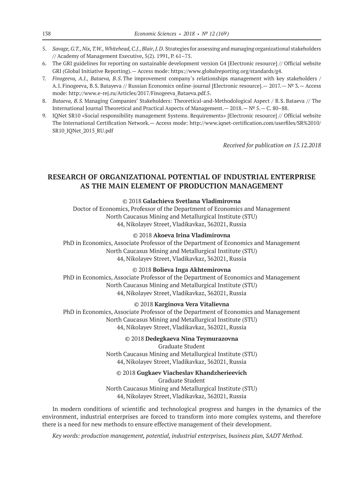- 5. *Savage, G.T., Nix, T.W., Whitehead, C.J., Blair, J.D*. Strategies for assessing and managing organizational stakeholders // Academy of Management Executive, 5(2). 1991, P. 61–75.
- 6. The GRI guidelines for reporting on sustainable development version G4 [Electronic resource] // Official website GRI (Global Initiative Reporting).— Access mode: https://www.globalreporting.org/standards/g4.
- 7. *Finogeeva, A.I., Bataeva, B.S*. The improvement company`s relationships management with key stakeholders / A.I. Finogeeva, B.S. Batayeva // Russian Economics online-journal [Electronic resource].— 2017.— № 3.— Access mode: http://www.e-rej.ru/Articles/2017/Finogeeva\_Bataeva.pdf.5.
- 8. *Bataeva, B.S.* Managing Companies' Stakeholders: Theoretical-and-Methodological Aspect / B.S. Bataeva // The International Journal Theoretical and Practical Aspects of Management.— 2018.— № 5.— С. 80–88.
- 9. IQNet SR10 «Social responsibility management Systems. Requirements» [Electronic resource] // Official website The International Certification Network.— Access mode: http://www.iqnet-certification.com/userfiles/SR%2010/ SR10\_IQNet\_2015\_RU.pdf

*Received for publication on 15.12.2018*

### **RESEARCH OF ORGANIZATIONAL POTENTIAL OF INDUSTRIAL ENTERPRISE AS THE MAIN ELEMENT OF PRODUCTION MANAGEMENT**

#### ©© 2018 **Galachieva Svetlana Vladimirovna**

Doctor of Economics, Professor of the Department of Economics and Management North Caucasus Mining and Metallurgical Institute (STU) 44, Nikolayev Street, Vladikavkaz, 362021, Russia

#### ©© 2018 **Akoeva Irina Vladimirovna**

PhD in Economics, Associate Professor of the Department of Economics and Management North Caucasus Mining and Metallurgical Institute (STU) 44, Nikolayev Street, Vladikavkaz, 362021, Russia

#### ©© 2018 **Bolieva Inga Akhtemirovna**

PhD in Economics, Associate Professor of the Department of Economics and Management North Caucasus Mining and Metallurgical Institute (STU) 44, Nikolayev Street, Vladikavkaz, 362021, Russia

#### ©© 2018 **Karginova Vera Vitalievna**

PhD in Economics, Associate Professor of the Department of Economics and Management North Caucasus Mining and Metallurgical Institute (STU) 44, Nikolayev Street, Vladikavkaz, 362021, Russia

#### ©© 2018 **Dedegkaeva Nina Teymurazovna**

Graduate Student North Caucasus Mining and Metallurgical Institute (STU) 44, Nikolayev Street, Vladikavkaz, 362021, Russia

#### ©© 2018 **Gugkaev Viacheslav Khandzherieevich**

Graduate Student North Caucasus Mining and Metallurgical Institute (STU) 44, Nikolayev Street, Vladikavkaz, 362021, Russia

In modern conditions of scientific and technological progress and hanges in the dynamics of the environment, industrial enterprises are forced to transform into more complex systems, and therefore there is a need for new methods to ensure effective management of their development.

*Key words: production management, potential, industrial enterprises, business plan, SADT Method.*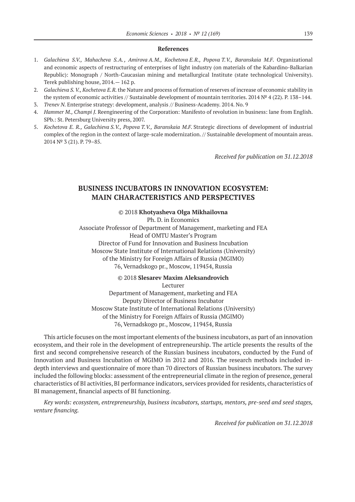#### **References**

- 1. *Galachieva S.V., Mahacheva S.A. , Amirova A.M., Kochetova E.R., Popova T.V., Baranskaia M.F.* Organizational and economic aspects of restructuring of enterprises of light industry (on materials of the Kabardino-Balkarian Republic): Monograph / North-Caucasian mining and metallurgical Institute (state technological University). Terek publishing house, 2014.— 162 p.
- 2. *Galachieva S. V., Kochetova E.R.* the Nature and process of formation of reserves of increase of economic stability in the system of economic activities // Sustainable development of mountain territories. 2014 № 4 (22). P. 138–144.
- 3. *Trenev N.* Enterprise strategy: development, analysis // Business-Academy. 2014. No. 9
- 4. *Hammer M., Champi J.* Reengineering of the Corporation: Manifesto of revolution in business: lane from English. SPb.: St. Petersburg University press, 2007.
- 5. *Kochetova E. R., Galachieva S.V., Popova T.V., Baranskaia M.F.* Strategic directions of development of industrial complex of the region in the context of large-scale modernization. // Sustainable development of mountain areas. 2014 № 3 (21). P. 79–85.

*Received for publication on 31.12.2018*

### **BUSINESS INCUBATORS IN INNOVATION ECOSYSTEM: MAIN CHARACTERISTICS AND PERSPECTIVES**

#### ©© 2018 **Khotyasheva Olga Mikhailovna**

Ph. D. in Economics Associate Professor of Department of Management, marketing and FEA Head of OMTU Master's Program Director of Fund for Innovation and Business Incubation Moscow State Institute of International Relations (University) of the Ministry for Foreign Affairs of Russia (MGIMO) 76, Vernadskogo pr., Moscow, 119454, Russia

#### ©© 2018 **Slesarev Maxim Aleksandrovich** Lecturer

Department of Management, marketing and FEA Deputy Director of Business Incubator Moscow State Institute of International Relations (University) of the Ministry for Foreign Affairs of Russia (MGIMO) 76, Vernadskogo pr., Moscow, 119454, Russia

This article focuses on the most important elements of the business incubators, as part of an innovation ecosystem, and their role in the development of entrepreneurship. The article presents the results of the first and second comprehensive research of the Russian business incubators, conducted by the Fund of Innovation and Business Incubation of MGIMO in 2012 and 2016. The research methods included indepth interviews and questionnaire of more than 70 directors of Russian business incubators. The survey included the following blocks: assessment of the entrepreneurial climate in the region of presence, general characteristics of BI activities, BI performance indicators, services provided for residents, characteristics of BI management, financial aspects of BI functioning.

*Key words: ecosystem, entrepreneurship, business incubators, startups, mentors, pre-seed and seed stages, venture financing.*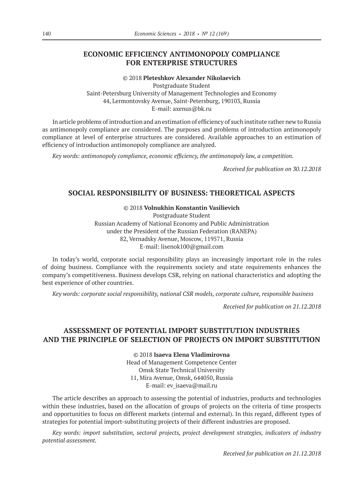### **ECONOMIC EFFICIENCY ANTIMONOPOLY COMPLIANCE FOR ENTERPRISE STRUCTURES**

©© 2018 **Pleteshkov Alexander Nikolaevich** Postgraduate Student Saint-Petersburg University of Management Technologies and Economy 44, Lermontovsky Avenue, Saint-Petersburg, 190103, Russia E‑mail: axenus@bk.ru

In article problems of introduction and an estimation of efficiency of such institute rather new to Russia as antimonopoly compliance are considered. The purposes and problems of introduction antimonopoly compliance at level of enterprise structures are considered. Available approaches to an estimation of efficiency of introduction antimonopoly compliance are analyzed.

*Key words: antimonopoly compliance, economic efficiency, the antimonopoly law, a competition.*

*Received for publication on 30.12.2018*

### **SOCIAL RESPONSIBILITY OF BUSINESS: THEORETICAL ASPECTS**

©© 2018 **Volnukhin Konstantin Vasilievich** Postgraduate Student Russian Academy of National Economy and Public Administration under the President of the Russian Federation (RANEPA) 82, Vernadsky Avenue, Moscow, 119571, Russia E‑mail: lisenok100@gmail.com

In today's world, corporate social responsibility plays an increasingly important role in the rules of doing business. Compliance with the requirements society and state requirements enhances the company's competitiveness. Business develops CSR, relying on national characteristics and adopting the best experience of other countries.

*Key words: corporate social responsibility, national CSR models, corporate culture, responsible business*

*Received for publication on 21.12.2018*

### **ASSESSMENT OF POTENTIAL IMPORT SUBSTITUTION INDUSTRIES AND THE PRINCIPLE OF SELECTION OF PROJECTS ON IMPORT SUBSTITUTION**

©© 2018 **Isaeva Elena Vladimirovna**

Head of Management Competence Center Omsk State Technical University 11, Mira Avenue, Omsk, 644050, Russia E-mail: ev\_isaeva@mail.ru

The article describes an approach to assessing the potential of industries, products and technologies within these industries, based on the allocation of groups of projects on the criteria of time prospects and opportunities to focus on different markets (internal and external). In this regard, different types of strategies for potential import-substituting projects of their different industries are proposed.

*Key words: import substitution, sectoral projects, project development strategies, indicators of industry potential assessment.*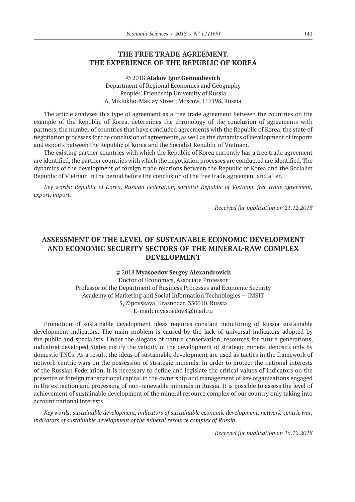### **THE FREE TRADE AGREEMENT. THE EXPERIENCE OF THE REPUBLIC OF KOREA**

©© 2018 **Atakov Igor Gennadievich** Department of Regional Economics and Geography Peoples' Friendship University of Russia 6, Miklukho-Maklay Street, Moscow, 117198, Russia

The article analyzes this type of agreement as a free trade agreement between the countries on the example of the Republic of Korea, determines the chronology of the conclusion of agreements with partners, the number of countries that have concluded agreements with the Republic of Korea, the state of negotiation processes for the conclusion of agreements, as well as the dynamics of development of imports and exports between the Republic of Korea and the Socialist Republic of Vietnam.

The existing partner countries with which the Republic of Korea currently has a free trade agreement are identified, the partner countries with which the negotiation processes are conducted are identified. The dynamics of the development of foreign trade relations between the Republic of Korea and the Socialist Republic of Vietnam in the period before the conclusion of the free trade agreement and after.

*Key words: Republic of Korea, Russian Federation, socialist Republic of Vietnam, free trade agreement, export, import.*

*Received for publication on 21.12.2018*

### **ASSESSMENT OF THE LEVEL OF SUSTAINABLE ECONOMIC DEVELOPMENT AND ECONOMIC SECURITY SECTORS OF THE MINERAL-RAW COMPLEX DEVELOPMENT**

©© 2018 **Myasoedov Sergey Alexandrovich**

Doctor of Economics, Associate Professor Professor of the Department of Business Processes and Economic Security Academy of Marketing and Social Information Technologies — IMSIT 5, Zipovskaya, Krasnodar, 350010, Russia E-mail: myasoedov8@mail.ru

Promotion of sustainable development ideas requires constant monitoring of Russia sustainable development indicators. The main problem is caused by the lack of universal indicators adopted by the public and specialists. Under the slogans of nature conservation, resources for future generations, industrial developed States justify the validity of the development of strategic mineral deposits only by domestic TNCs. As a result, the ideas of sustainable development are used as tactics in the framework of network-centric wars on the possession of strategic minerals. In order to protect the national interests of the Russian Federation, it is necessary to define and legislate the critical values of indicators on the presence of foreign transnational capital in the ownership and management of key organizations engaged in the extraction and processing of non-renewable minerals in Russia. It is possible to assess the level of achievement of sustainable development of the mineral resource complex of our country only taking into account national interests

*Key words: sustainable development, indicators of sustainable economic development, network-centric war, indicators of sustainable development of the mineral resource complex of Russia.*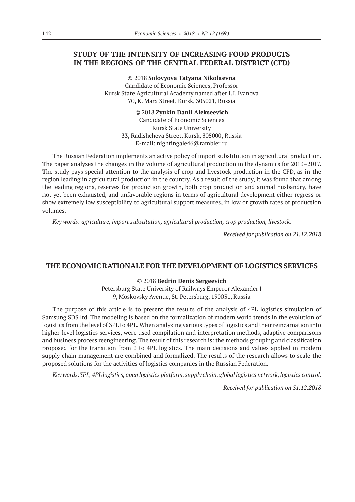### **STUDY OF THE INTENSITY OF INCREASING FOOD PRODUCTS IN THE REGIONS OF THE CENTRAL FEDERAL DISTRICT (CFD)**

©© 2018 **Solovyova Tatyana Nikolaevna** Candidate of Economic Sciences, Professor Kursk State Agricultural Academy named after I.I. Ivanova 70, K. Marx Street, Kursk, 305021, Russia

> ©© 2018 **Zyukin Danil Alekseevich** Candidate of Economic Sciences Kursk State University 33, Radishcheva Street, Kursk, 305000, Russia E‑mail: nightingale46@rambler.ru

The Russian Federation implements an active policy of import substitution in agricultural production. The paper analyzes the changes in the volume of agricultural production in the dynamics for 2013–2017. The study pays special attention to the analysis of crop and livestock production in the CFD, as in the region leading in agricultural production in the country. As a result of the study, it was found that among the leading regions, reserves for production growth, both crop production and animal husbandry, have not yet been exhausted, and unfavorable regions in terms of agricultural development either regress or show extremely low susceptibility to agricultural support measures, in low or growth rates of production volumes.

*Key words: agriculture, import substitution, agricultural production, crop production, livestock.*

*Received for publication on 21.12.2018*

#### **THE ECONOMIC RATIONALE FOR THE DEVELOPMENT OF LOGISTICS SERVICES**

©© 2018 **Bedrin Denis Sergeevich**

Petersburg State University of Railways Emperor Alexander I 9, Moskovsky Avenue, St. Petersburg, 190031, Russia

The purpose of this article is to present the results of the analysis of 4PL logistics simulation of Samsung SDS ltd. The modeling is based on the formalization of modern world trends in the evolution of logistics from the level of 3PL to 4PL. When analyzing various types of logistics and their reincarnation into higher-level logistics services, were used compilation and interpretation methods, adaptive comparisons and business process reengineering. The result of this research is: the methods grouping and classification proposed for the transition from 3 to 4PL logistics. The main decisions and values applied in modern supply chain management are combined and formalized. The results of the research allows to scale the proposed solutions for the activities of logistics companies in the Russian Federation.

*Key words:3PL, 4PL logistics, open logistics platform, supply chain, global logistics network, logistics control.*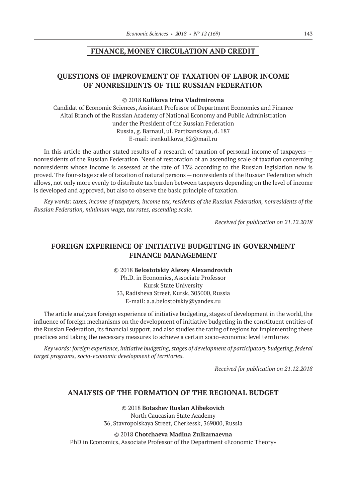### **FINANCE, MONEY CIRCULATION AND CREDIT**

### **QUESTIONS OF IMPROVEMENT OF TAXATION OF LABOR INCOME OF NONRESIDENTS OF THE RUSSIAN FEDERATION**

#### ©© 2018 **Kulikova Irina Vladimirovna**

Candidat of Economic Sciences, Assistant Professor of Department Economics and Finance Altai Branch of the Russian Academy of National Economy and Public Administration under the President of the Russian Federation Russia, g. Barnaul, ul. Partizanskaya, d. 187 E-mail: irenkulikova 82@mail.ru

In this article the author stated results of a research of taxation of personal income of taxpayers nonresidents of the Russian Federation. Need of restoration of an ascending scale of taxation concerning nonresidents whose income is assessed at the rate of 13% according to the Russian legislation now is proved. The four-stage scale of taxation of natural persons—nonresidents of the Russian Federation which allows, not only more evenly to distribute tax burden between taxpayers depending on the level of income is developed and approved, but also to observe the basic principle of taxation.

*Key words: taxes, income of taxpayers, income tax, residents of the Russian Federation, nonresidents of the Russian Federation, minimum wage, tax rates, ascending scale.*

*Received for publication on 21.12.2018*

### **FOREIGN EXPERIENCE OF INITIATIVE BUDGETING IN GOVERNMENT FINANCE MANAGEMENT**

©© 2018 **Belostotskiy Alexey Alexandrovich** Ph.D. in Economics, Associate Professor Kursk State University 33, Radisheva Street, Kursk, 305000, Russia Е‑mail: a.a.belostotskiy@yandex.ru

The article analyzes foreign experience of initiative budgeting, stages of development in the world, the influence of foreign mechanisms on the development of initiative budgeting in the constituent entities of the Russian Federation, its financial support, and also studies the rating of regions for implementing these practices and taking the necessary measures to achieve a certain socio-economic level territories

*Key words: foreign experience, initiative budgeting, stages of development of participatory budgeting, federal target programs, socio-economic development of territories.*

*Received for publication on 21.12.2018*

### **ANALYSIS OF THE FORMATION OF THE REGIONAL BUDGET**

©© 2018 **Botashev Ruslan Alibekovich** North Caucasian State Academy 36, Stavropolskaya Street, Cherkessk, 369000, Russia

©© 2018 **Chotchaeva Madina Zulkarnaevna** PhD in Economics, Associate Professor of the Department «Economic Theory»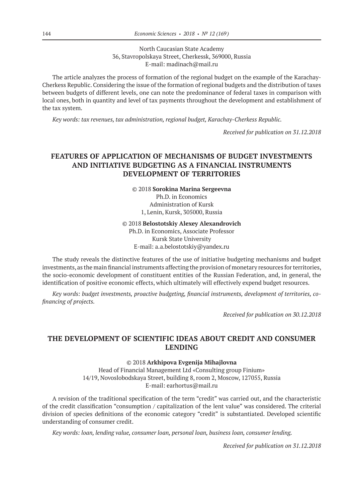North Caucasian State Academy 36, Stavropolskaya Street, Cherkessk, 369000, Russia Е‑mail: madinach@mail.ru

The article analyzes the process of formation of the regional budget on the example of the Karachay-Cherkess Republic. Considering the issue of the formation of regional budgets and the distribution of taxes between budgets of different levels, one can note the predominance of federal taxes in comparison with local ones, both in quantity and level of tax payments throughout the development and establishment of the tax system.

*Key words: tax revenues, tax administration, regional budget, Karachay-Cherkess Republic.*

*Received for publication on 31.12.2018*

### **FEATURES OF APPLICATION OF MECHANISMS OF BUDGET INVESTMENTS AND INITIATIVE BUDGETING AS A FINANCIAL INSTRUMENTS DEVELOPMENT OF TERRITORIES**

©© 2018 **Sorokina Marina Sergeevna** Ph.D. in Economics Administration of Kursk 1, Lenin, Kursk, 305000, Russia

©© 2018 **Belostotskiy Alexey Alexandrovich**

Ph.D. in Economics, Associate Professor Kursk State University Е‑mail: a.a.belostotskiy@yandex.ru

The study reveals the distinctive features of the use of initiative budgeting mechanisms and budget investments, as the main financial instruments affecting the provision of monetary resources for territories, the socio-economic development of constituent entities of the Russian Federation, and, in general, the identification of positive economic effects, which ultimately will effectively expend budget resources.

*Key words: budget investments, proactive budgeting, financial instruments, development of territories, cofinancing of projects.*

*Received for publication on 30.12.2018*

### **THE DEVELOPMENT OF SCIENTIFIC IDEAS ABOUT CREDIT AND CONSUMER LENDING**

©© 2018 **Arkhipova Evgenija Mihajlovna**

Head of Financial Management Ltd «Consulting group Finium» 14/19, Novoslobodskaya Street, building 8, room 2, Moscow, 127055, Russia E-mail: earhortus@mail.ru

A revision of the traditional specification of the term "credit" was carried out, and the characteristic of the credit classification "consumption / capitalization of the lent value" was considered. The criterial division of species definitions of the economic category "credit" is substantiated. Developed scientific understanding of consumer credit.

*Key words: loan, lending value, consumer loan, personal loan, business loan, consumer lending.*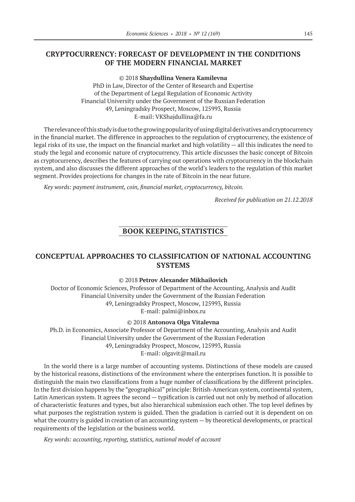### **CRYPTOCURRENCY: FORECAST OF DEVELOPMENT IN THE CONDITIONS OF THE MODERN FINANCIAL MARKET**

©© 2018 **Shaydullina Venera Kamilevna** PhD in Law, Director of the Center of Research and Expertise of the Department of Legal Regulation of Economic Activity Financial University under the Government of the Russian Federation 49, Leningradsky Prospect, Moscow, 125993, Russia E-mail: VKShajdullina@fa.ru

The relevance of this study is due to the growing popularity of using digital derivatives and cryptocurrency in the financial market. The difference in approaches to the regulation of cryptocurrency, the existence of legal risks of its use, the impact on the financial market and high volatility — all this indicates the need to study the legal and economic nature of cryptocurrency. This article discusses the basic concept of Bitcoin as cryptocurrency, describes the features of carrying out operations with cryptocurrency in the blockchain system, and also discusses the different approaches of the world's leaders to the regulation of this market segment. Provides projections for changes in the rate of Bitcoin in the near future.

*Key words: payment instrument, coin, financial market, cryptocurrency, bitcoin.*

*Received for publication on 21.12.2018*

### **BOOK KEEPING, STATISTICS**

### **CONCEPTUAL APPROACHES TO CLASSIFICATION OF NATIONAL ACCOUNTING SYSTEMS**

#### ©© 2018 **Petrov Alexander Mikhailovich**

Doctor of Economic Sciences, Professor of Department of the Accounting, Analysis and Audit Financial University under the Government of the Russian Federation 49, Leningradsky Prospect, Moscow, 125993, Russia E‑mail: palmi@inbox.ru

#### ©© 2018 **Antonova Olga Vitalevna**

Ph.D. in Economics, Associate Professor of Department of the Accounting, Analysis and Audit Financial University under the Government of the Russian Federation 49, Leningradsky Prospect, Moscow, 125993, Russia E-mail: olgavit@mail.ru

In the world there is a large number of accounting systems. Distinctions of these models are caused by the historical reasons, distinctions of the environment where the enterprises function. It is possible to distinguish the main two classifications from a huge number of classifications by the different principles. In the first division happens by the "geographical" principle: British-American system, continental system, Latin American system. It agrees the second — typification is carried out not only by method of allocation of characteristic features and types, but also hierarchical submission each other. The top level defines by what purposes the registration system is guided. Then the gradation is carried out it is dependent on on what the country is guided in creation of an accounting system — by theoretical developments, or practical requirements of the legislation or the business world.

*Key words: accounting, reporting, statistics, national model of account*